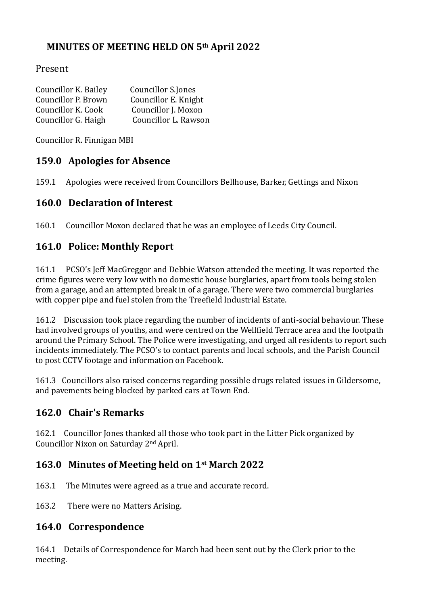## **MINUTES OF MEETING HELD ON 5th April 2022**

#### Present

| Councillor K. Bailey | Councillor S.Jones   |
|----------------------|----------------------|
| Councillor P. Brown  | Councillor E. Knight |
| Councillor K. Cook   | Councillor J. Moxon  |
| Councillor G. Haigh  | Councillor L. Rawson |

Councillor R. Finnigan MBI

#### **159.0 Apologies for Absence**

159.1 Apologies were received from Councillors Bellhouse, Barker, Gettings and Nixon

#### **160.0 Declaration of Interest**

160.1 Councillor Moxon declared that he was an employee of Leeds City Council.

## **161.0 Police: Monthly Report**

161.1 PCSO's Jeff MacGreggor and Debbie Watson attended the meeting. It was reported the crime figures were very low with no domestic house burglaries, apart from tools being stolen from a garage, and an attempted break in of a garage. There were two commercial burglaries with copper pipe and fuel stolen from the Treefield Industrial Estate.

161.2 Discussion took place regarding the number of incidents of anti-social behaviour. These had involved groups of youths, and were centred on the Wellfield Terrace area and the footpath around the Primary School. The Police were investigating, and urged all residents to report such incidents immediately. The PCSO's to contact parents and local schools, and the Parish Council to post CCTV footage and information on Facebook.

161.3 Councillors also raised concerns regarding possible drugs related issues in Gildersome, and pavements being blocked by parked cars at Town End.

## **162.0 Chair's Remarks**

162.1 Councillor Jones thanked all those who took part in the Litter Pick organized by Councillor Nixon on Saturday 2nd April.

## **163.0 Minutes of Meeting held on 1st March 2022**

- 163.1 The Minutes were agreed as a true and accurate record.
- 163.2 There were no Matters Arising.

#### **164.0 Correspondence**

164.1 Details of Correspondence for March had been sent out by the Clerk prior to the meeting.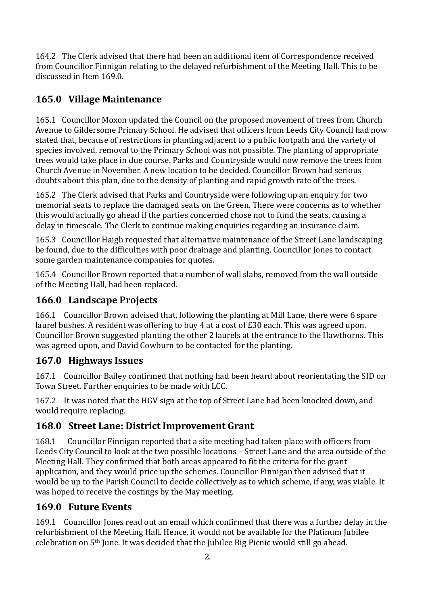164.2 The Clerk advised that there had been an additional item of Correspondence received from Councillor Finnigan relating to the delayed refurbishment of the Meeting Hall. This to be discussed in Item 169.0.

# **165.0 Village Maintenance**

165.1 Councillor Moxon updated the Council on the proposed movement of trees from Church Avenue to Gildersome Primary School. He advised that officers from Leeds City Council had now stated that, because of restrictions in planting adjacent to a public footpath and the variety of species involved, removal to the Primary School was not possible. The planting of appropriate trees would take place in due course. Parks and Countryside would now remove the trees from Church Avenue in November. A new location to be decided. Councillor Brown had serious doubts about this plan, due to the density of planting and rapid growth rate of the trees.

165.2 The Clerk advised that Parks and Countryside were following up an enquiry for two memorial seats to replace the damaged seats on the Green. There were concerns as to whether this would actually go ahead if the parties concerned chose not to fund the seats, causing a delay in timescale. The Clerk to continue making enquiries regarding an insurance claim.

165.3 Councillor Haigh requested that alternative maintenance of the Street Lane landscaping be found, due to the difficulties with poor drainage and planting. Councillor Jones to contact some garden maintenance companies for quotes.

165.4 Councillor Brown reported that a number of wall slabs, removed from the wall outside of the Meeting Hall, had been replaced.

## **166.0 Landscape Projects**

166.1 Councillor Brown advised that, following the planting at Mill Lane, there were 6 spare laurel bushes. A resident was offering to buy 4 at a cost of £30 each. This was agreed upon. Councillor Brown suggested planting the other 2 laurels at the entrance to the Hawthorns. This was agreed upon, and David Cowburn to be contacted for the planting.

## **167.0 Highways Issues**

167.1 Councillor Bailey confirmed that nothing had been heard about reorientating the SID on Town Street. Further enquiries to be made with LCC.

167.2 It was noted that the HGV sign at the top of Street Lane had been knocked down, and would require replacing.

## **168.0 Street Lane: District Improvement Grant**

168.1 Councillor Finnigan reported that a site meeting had taken place with officers from Leeds City Council to look at the two possible locations – Street Lane and the area outside of the Meeting Hall. They confirmed that both areas appeared to fit the criteria for the grant application, and they would price up the schemes. Councillor Finnigan then advised that it would be up to the Parish Council to decide collectively as to which scheme, if any, was viable. It was hoped to receive the costings by the May meeting.

## **169.0 Future Events**

169.1 Councillor Jones read out an email which confirmed that there was a further delay in the refurbishment of the Meeting Hall. Hence, it would not be available for the Platinum Jubilee celebration on 5th June. It was decided that the Jubilee Big Picnic would still go ahead.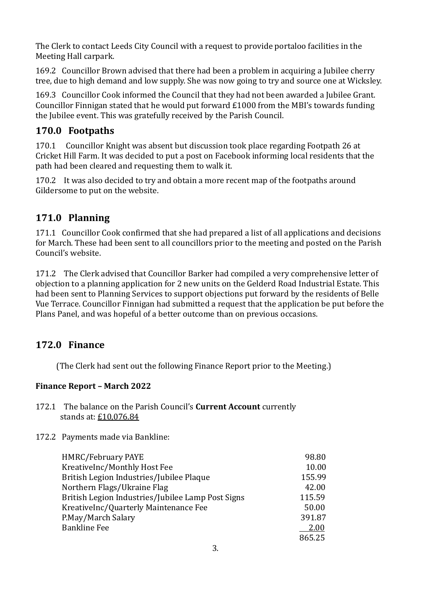The Clerk to contact Leeds City Council with a request to provide portaloo facilities in the Meeting Hall carpark.

169.2 Councillor Brown advised that there had been a problem in acquiring a Jubilee cherry tree, due to high demand and low supply. She was now going to try and source one at Wicksley.

169.3 Councillor Cook informed the Council that they had not been awarded a Jubilee Grant. Councillor Finnigan stated that he would put forward £1000 from the MBI's towards funding the Jubilee event. This was gratefully received by the Parish Council.

#### **170.0 Footpaths**

170.1 Councillor Knight was absent but discussion took place regarding Footpath 26 at Cricket Hill Farm. It was decided to put a post on Facebook informing local residents that the path had been cleared and requesting them to walk it.

170.2 It was also decided to try and obtain a more recent map of the footpaths around Gildersome to put on the website.

## **171.0 Planning**

171.1 Councillor Cook confirmed that she had prepared a list of all applications and decisions for March. These had been sent to all councillors prior to the meeting and posted on the Parish Council's website.

171.2 The Clerk advised that Councillor Barker had compiled a very comprehensive letter of objection to a planning application for 2 new units on the Gelderd Road Industrial Estate. This had been sent to Planning Services to support objections put forward by the residents of Belle Vue Terrace. Councillor Finnigan had submitted a request that the application be put before the Plans Panel, and was hopeful of a better outcome than on previous occasions.

## **172.0 Finance**

(The Clerk had sent out the following Finance Report prior to the Meeting.)

#### **Finance Report – March 2022**

- 172.1 The balance on the Parish Council's **Current Account** currently stands at: £10,076.84
- 172.2 Payments made via Bankline:

| <b>HMRC/February PAYE</b>                         | 98.80  |
|---------------------------------------------------|--------|
| KreativeInc/Monthly Host Fee                      | 10.00  |
| British Legion Industries/Jubilee Plaque          | 155.99 |
| Northern Flags/Ukraine Flag                       | 42.00  |
| British Legion Industries/Jubilee Lamp Post Signs | 115.59 |
| KreativeInc/Quarterly Maintenance Fee             | 50.00  |
| P.May/March Salary                                | 391.87 |
| <b>Bankline Fee</b>                               | 2.00   |
|                                                   | 865.25 |